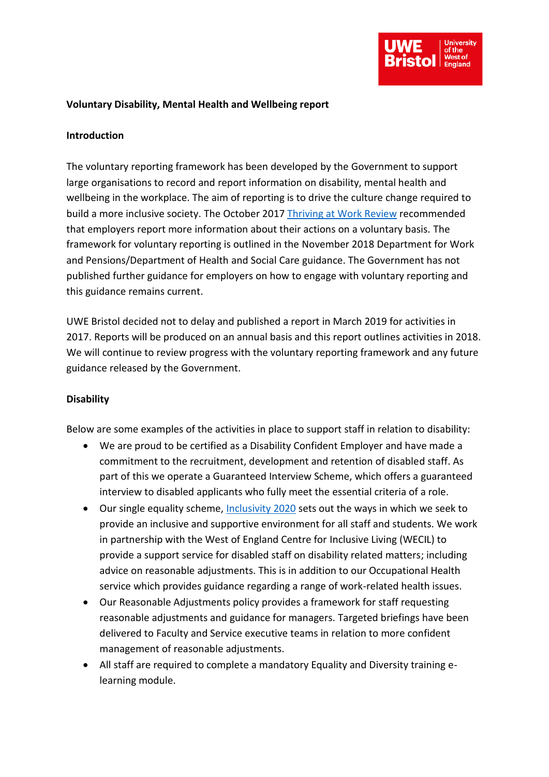

## **Voluntary Disability, Mental Health and Wellbeing report**

## **Introduction**

The voluntary reporting framework has been developed by the Government to support large organisations to record and report information on disability, mental health and wellbeing in the workplace. The aim of reporting is to drive the culture change required to build a more inclusive society. The October 2017 [Thriving at Work Review](https://assets.publishing.service.gov.uk/government/uploads/system/uploads/attachment_data/file/658145/thriving-at-work-stevenson-farmer-review.pdf) recommended that employers report more information about their actions on a voluntary basis. The framework for voluntary reporting is outlined in the November 2018 Department for Work and Pensions/Department of Health and Social Care guidance. The Government has not published further guidance for employers on how to engage with voluntary reporting and this guidance remains current.

UWE Bristol decided not to delay and published a report in March 2019 for activities in 2017. Reports will be produced on an annual basis and this report outlines activities in 2018. We will continue to review progress with the voluntary reporting framework and any future guidance released by the Government.

## **Disability**

Below are some examples of the activities in place to support staff in relation to disability:

- We are proud to be certified as a Disability Confident Employer and have made a commitment to the recruitment, development and retention of disabled staff. As part of this we operate a Guaranteed Interview Scheme, which offers a guaranteed interview to disabled applicants who fully meet the essential criteria of a role.
- Our single equality scheme, [Inclusivity 2020](https://www1.uwe.ac.uk/about/corporateinformation/equalityanddiversity/singleequalityscheme.aspx) sets out the ways in which we seek to provide an inclusive and supportive environment for all staff and students. We work in partnership with the West of England Centre for Inclusive Living (WECIL) to provide a support service for disabled staff on disability related matters; including advice on reasonable adjustments. This is in addition to our Occupational Health service which provides guidance regarding a range of work-related health issues.
- Our Reasonable Adjustments policy provides a framework for staff requesting reasonable adjustments and guidance for managers. Targeted briefings have been delivered to Faculty and Service executive teams in relation to more confident management of reasonable adjustments.
- All staff are required to complete a mandatory Equality and Diversity training elearning module.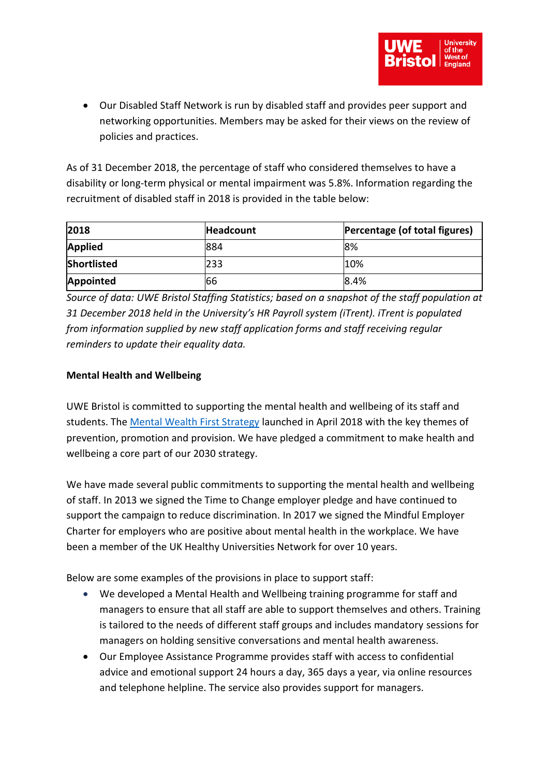• Our Disabled Staff Network is run by disabled staff and provides peer support and networking opportunities. Members may be asked for their views on the review of policies and practices.

As of 31 December 2018, the percentage of staff who considered themselves to have a disability or long-term physical or mental impairment was 5.8%. Information regarding the recruitment of disabled staff in 2018 is provided in the table below:

| 2018               | Headcount | Percentage (of total figures) |
|--------------------|-----------|-------------------------------|
| <b>Applied</b>     | 884       | 8%                            |
| <b>Shortlisted</b> | 233       | 10%                           |
| <b>Appointed</b>   | 166       | 8.4%                          |

*Source of data: UWE Bristol Staffing Statistics; based on a snapshot of the staff population at 31 December 2018 held in the University's HR Payroll system (iTrent). iTrent is populated from information supplied by new staff application forms and staff receiving regular reminders to update their equality data.*

## **Mental Health and Wellbeing**

UWE Bristol is committed to supporting the mental health and wellbeing of its staff and students. The [Mental Wealth First Strategy](https://docs.uwe.ac.uk/ou/Communications/Documents/Mental%20Health%20and%20Wellbeing/Mental%20Wealth%20First%20strategy%20final.pdf) launched in April 2018 with the key themes of prevention, promotion and provision. We have pledged a commitment to make health and wellbeing a core part of our 2030 strategy.

We have made several public commitments to supporting the mental health and wellbeing of staff. In 2013 we signed the Time to Change employer pledge and have continued to support the campaign to reduce discrimination. In 2017 we signed the Mindful Employer Charter for employers who are positive about mental health in the workplace. We have been a member of the UK Healthy Universities Network for over 10 years.

Below are some examples of the provisions in place to support staff:

- We developed a Mental Health and Wellbeing training programme for staff and managers to ensure that all staff are able to support themselves and others. Training is tailored to the needs of different staff groups and includes mandatory sessions for managers on holding sensitive conversations and mental health awareness.
- Our Employee Assistance Programme provides staff with access to confidential advice and emotional support 24 hours a day, 365 days a year, via online resources and telephone helpline. The service also provides support for managers.